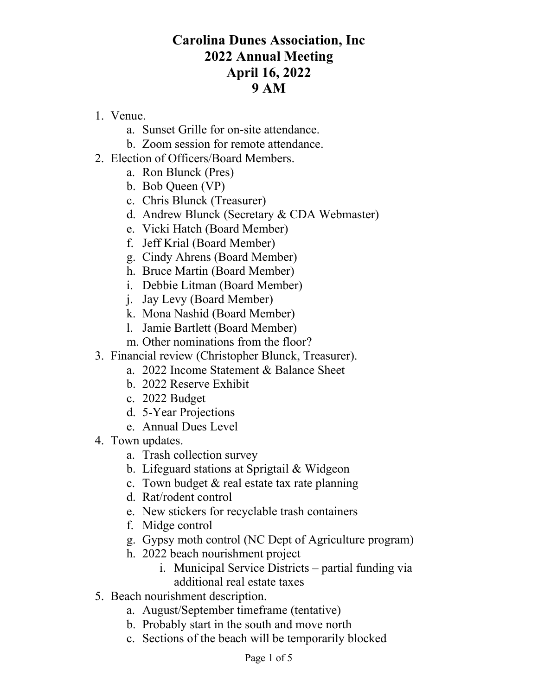# **Carolina Dunes Association, Inc 2022 Annual Meeting April 16, 2022 9 AM**

- 1. Venue.
	- a. Sunset Grille for on-site attendance.
	- b. Zoom session for remote attendance.
- 2. Election of Officers/Board Members.
	- a. Ron Blunck (Pres)
	- b. Bob Queen (VP)
	- c. Chris Blunck (Treasurer)
	- d. Andrew Blunck (Secretary & CDA Webmaster)
	- e. Vicki Hatch (Board Member)
	- f. Jeff Krial (Board Member)
	- g. Cindy Ahrens (Board Member)
	- h. Bruce Martin (Board Member)
	- i. Debbie Litman (Board Member)
	- j. Jay Levy (Board Member)
	- k. Mona Nashid (Board Member)
	- l. Jamie Bartlett (Board Member)
	- m. Other nominations from the floor?
- 3. Financial review (Christopher Blunck, Treasurer).
	- a. 2022 Income Statement & Balance Sheet
	- b. 2022 Reserve Exhibit
	- c. 2022 Budget
	- d. 5-Year Projections
	- e. Annual Dues Level
- 4. Town updates.
	- a. Trash collection survey
	- b. Lifeguard stations at Sprigtail & Widgeon
	- c. Town budget & real estate tax rate planning
	- d. Rat/rodent control
	- e. New stickers for recyclable trash containers
	- f. Midge control
	- g. Gypsy moth control (NC Dept of Agriculture program)
	- h. 2022 beach nourishment project
		- i. Municipal Service Districts  $-$  partial funding via additional real estate taxes
- 5. Beach nourishment description.
	- a. August/September timeframe (tentative)
	- b. Probably start in the south and move north
	- c. Sections of the beach will be temporarily blocked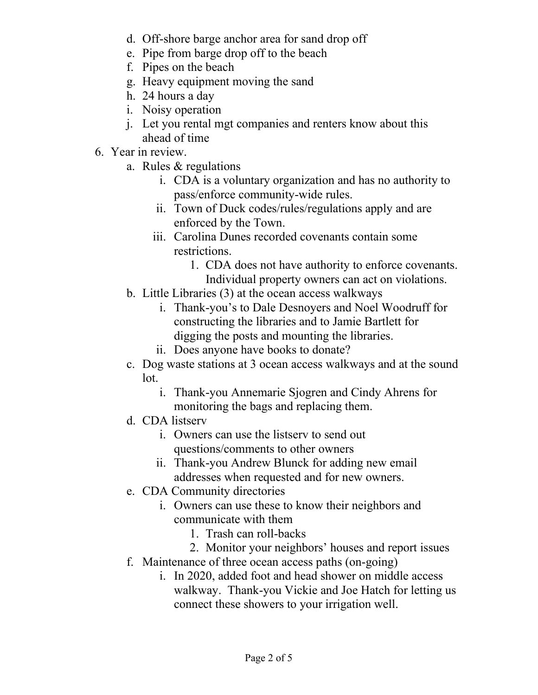- d. Off-shore barge anchor area for sand drop off
- e. Pipe from barge drop off to the beach
- f. Pipes on the beach
- g. Heavy equipment moving the sand
- h. 24 hours a day
- i. Noisy operation
- j. Let you rental mgt companies and renters know about this ahead of time
- 6. Year in review.
	- a. Rules & regulations
		- i. CDA is a voluntary organization and has no authority to pass/enforce community-wide rules.
		- ii. Town of Duck codes/rules/regulations apply and are enforced by the Town.
		- iii. Carolina Dunes recorded covenants contain some restrictions.
			- 1. CDA does not have authority to enforce covenants. Individual property owners can act on violations.
	- b. Little Libraries (3) at the ocean access walkways
		- i. Thank-you's to Dale Desnoyers and Noel Woodruff for constructing the libraries and to Jamie Bartlett for digging the posts and mounting the libraries.
		- ii. Does anyone have books to donate?
	- c. Dog waste stations at 3 ocean access walkways and at the sound lot.
		- i. Thank-you Annemarie Sjogren and Cindy Ahrens for monitoring the bags and replacing them.
	- d. CDA listserv
		- i. Owners can use the listserv to send out questions/comments to other owners
		- ii. Thank-you Andrew Blunck for adding new email addresses when requested and for new owners.
	- e. CDA Community directories
		- i. Owners can use these to know their neighbors and communicate with them
			- 1. Trash can roll-backs
			- 2. Monitor your neighbors' houses and report issues
	- f. Maintenance of three ocean access paths (on-going)
		- i. In 2020, added foot and head shower on middle access walkway. Thank-you Vickie and Joe Hatch for letting us connect these showers to your irrigation well.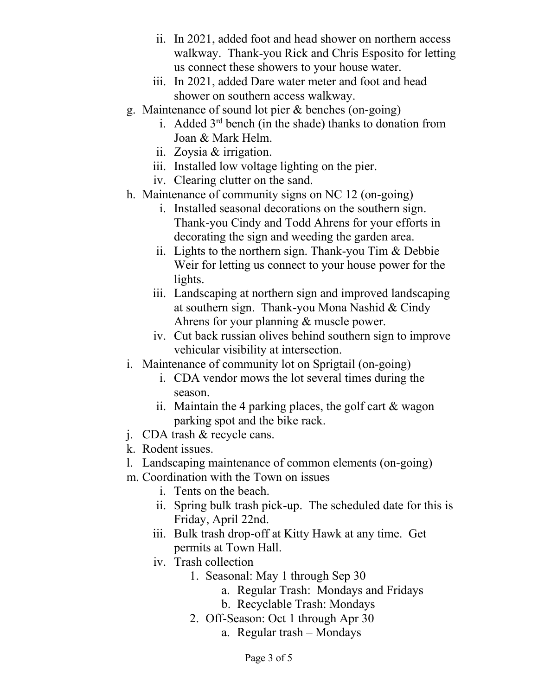- ii. In 2021, added foot and head shower on northern access walkway. Thank-you Rick and Chris Esposito for letting us connect these showers to your house water.
- iii. In 2021, added Dare water meter and foot and head shower on southern access walkway.
- g. Maintenance of sound lot pier & benches (on-going)
	- i. Added  $3<sup>rd</sup>$  bench (in the shade) thanks to donation from Joan & Mark Helm.
	- ii. Zoysia & irrigation.
	- iii. Installed low voltage lighting on the pier.
	- iv. Clearing clutter on the sand.
- h. Maintenance of community signs on NC 12 (on-going)
	- i. Installed seasonal decorations on the southern sign. Thank-you Cindy and Todd Ahrens for your efforts in decorating the sign and weeding the garden area.
	- ii. Lights to the northern sign. Thank-you Tim & Debbie Weir for letting us connect to your house power for the lights.
	- iii. Landscaping at northern sign and improved landscaping at southern sign. Thank-you Mona Nashid & Cindy Ahrens for your planning & muscle power.
	- iv. Cut back russian olives behind southern sign to improve vehicular visibility at intersection.
- i. Maintenance of community lot on Sprigtail (on-going)
	- i. CDA vendor mows the lot several times during the season.
	- ii. Maintain the 4 parking places, the golf cart  $\&$  wagon parking spot and the bike rack.
- j. CDA trash & recycle cans.
- k. Rodent issues.
- l. Landscaping maintenance of common elements (on-going)
- m. Coordination with the Town on issues
	- i. Tents on the beach.
	- ii. Spring bulk trash pick-up. The scheduled date for this is Friday, April 22nd.
	- iii. Bulk trash drop-off at Kitty Hawk at any time. Get permits at Town Hall.
	- iv. Trash collection
		- 1. Seasonal: May 1 through Sep 30
			- a. Regular Trash: Mondays and Fridays
			- b. Recyclable Trash: Mondays
		- 2. Off-Season: Oct 1 through Apr 30
			- a. Regular trash  $-\text{Mondays}$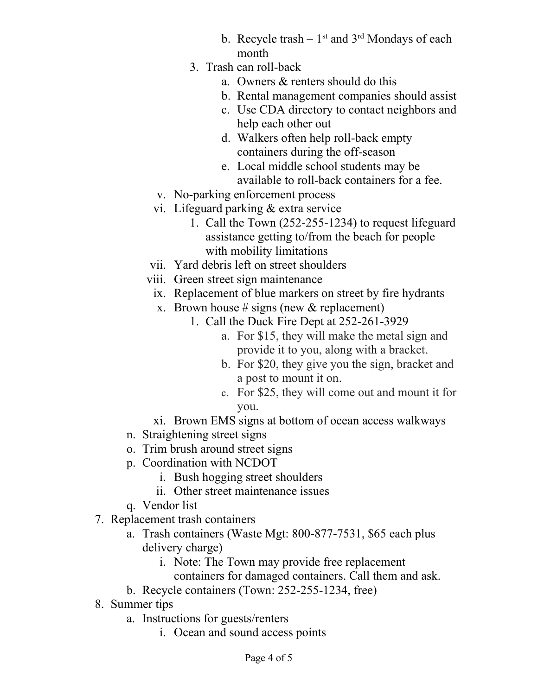- b. Recycle trash  $-1$ <sup>st</sup> and 3<sup>rd</sup> Mondays of each month
- 3. Trash can roll-back
	- a. Owners & renters should do this
	- b. Rental management companies should assist
	- c. Use CDA directory to contact neighbors and help each other out
	- d. Walkers often help roll-back empty containers during the off-season
	- e. Local middle school students may be available to roll-back containers for a fee.
- v. No-parking enforcement process
- vi. Lifeguard parking & extra service
	- 1. Call the Town (252-255-1234) to request lifeguard assistance getting to/from the beach for people with mobility limitations
- vii. Yard debris left on street shoulders
- viii. Green street sign maintenance
	- ix. Replacement of blue markers on street by fire hydrants
	- x. Brown house # signs (new  $&$  replacement)
		- 1. Call the Duck Fire Dept at 252-261-3929
			- a. For \$15, they will make the metal sign and provide it to you, along with a bracket.
			- b. For \$20, they give you the sign, bracket and a post to mount it on.
			- c. For \$25, they will come out and mount it for you.
	- xi. Brown EMS signs at bottom of ocean access walkways
- n. Straightening street signs
- o. Trim brush around street signs
- p. Coordination with NCDOT
	- i. Bush hogging street shoulders
	- ii. Other street maintenance issues
- q. Vendor list
- 7. Replacement trash containers
	- a. Trash containers (Waste Mgt: 800-877-7531, \$65 each plus delivery charge)
		- i. Note: The Town may provide free replacement
		- containers for damaged containers. Call them and ask.
	- b. Recycle containers (Town: 252-255-1234, free)
- 8. Summer tips
	- a. Instructions for guests/renters
		- i. Ocean and sound access points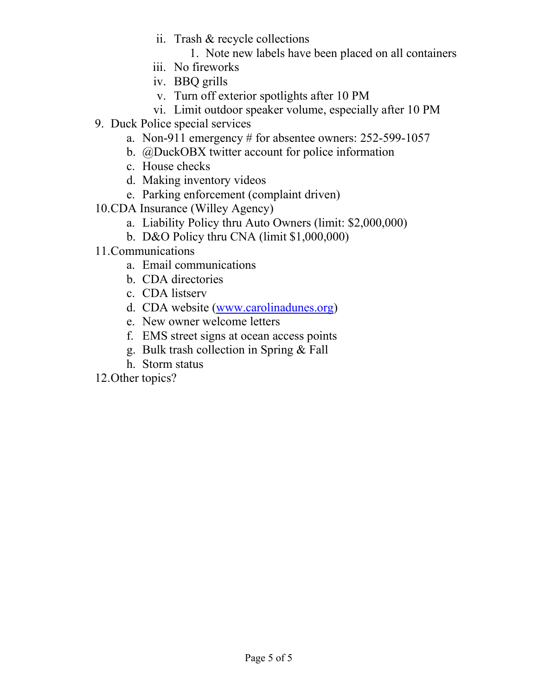- ii. Trash & recycle collections
	- 1. Note new labels have been placed on all containers
- iii. No fireworks
- iv. BBQ grills
- v. Turn off exterior spotlights after 10 PM
- vi. Limit outdoor speaker volume, especially after 10 PM
- 9. Duck Police special services
	- a. Non-911 emergency # for absentee owners: 252-599-1057
	- b. @DuckOBX twitter account for police information
	- c. House checks
	- d. Making inventory videos
	- e. Parking enforcement (complaint driven)
- 10.CDA Insurance (Willey Agency)
	- a. Liability Policy thru Auto Owners (limit: \$2,000,000)
	- b. D&O Policy thru CNA (limit \$1,000,000)
- 11.Communications
	- a. Email communications
	- b. CDA directories
	- c. CDA listserv
	- d. CDA website [\(www.carolinadunes.org\)](http://www.carolinadunes.org/)
	- e. New owner welcome letters
	- f. EMS street signs at ocean access points
	- g. Bulk trash collection in Spring & Fall
	- h. Storm status

12.Other topics?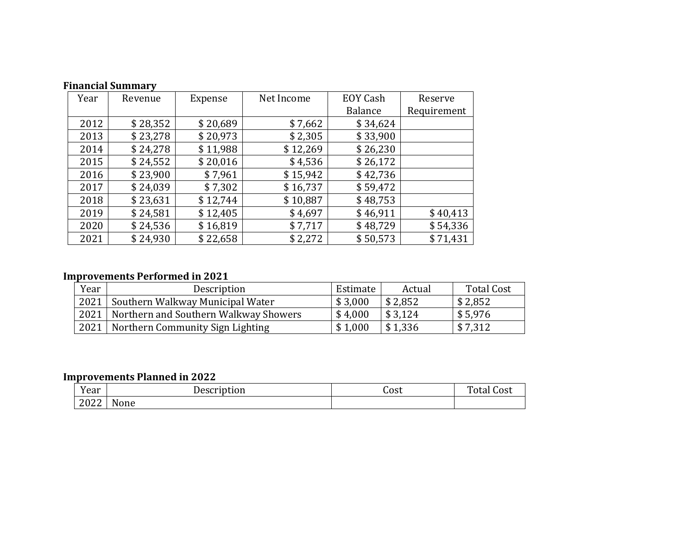| Year | Revenue  | Expense  | Net Income | <b>EOY Cash</b> | Reserve  |  |
|------|----------|----------|------------|-----------------|----------|--|
|      |          |          |            | Balance         |          |  |
| 2012 | \$28,352 | \$20,689 | \$7,662    | \$34,624        |          |  |
| 2013 | \$23,278 | \$20,973 | \$2,305    | \$33,900        |          |  |
| 2014 | \$24,278 | \$11,988 | \$12,269   | \$26,230        |          |  |
| 2015 | \$24,552 | \$20,016 | \$4,536    | \$26,172        |          |  |
| 2016 | \$23,900 | \$7,961  | \$15,942   | \$42,736        |          |  |
| 2017 | \$24,039 | \$7,302  | \$16,737   | \$59,472        |          |  |
| 2018 | \$23,631 | \$12,744 | \$10,887   | \$48,753        |          |  |
| 2019 | \$24,581 | \$12,405 | \$4,697    | \$46,911        | \$40,413 |  |
| 2020 | \$24,536 | \$16,819 | \$7,717    | \$48,729        | \$54,336 |  |
| 2021 | \$24,930 | \$22,658 | \$2,272    | \$50,573        | \$71,431 |  |

## **Financial Summary**

### **Improvements Performed in 2021**

| Year | Description                           | Estimate | Actual  | <b>Total Cost</b> |
|------|---------------------------------------|----------|---------|-------------------|
| 2021 | Southern Walkway Municipal Water      | \$3,000  | \$2,852 | \$2,852           |
| 2021 | Northern and Southern Walkway Showers | \$4,000  | \$3,124 | \$5,976           |
| 2021 | Northern Community Sign Lighting      | \$1,000  | \$1,336 | \$7,312           |

## **Improvements Planned in 2022**

| <b>TT</b><br>Year | Description | Cost | <b>TITLE</b><br>Cost |
|-------------------|-------------|------|----------------------|
| 2002<br>ZUZZ      | None        |      |                      |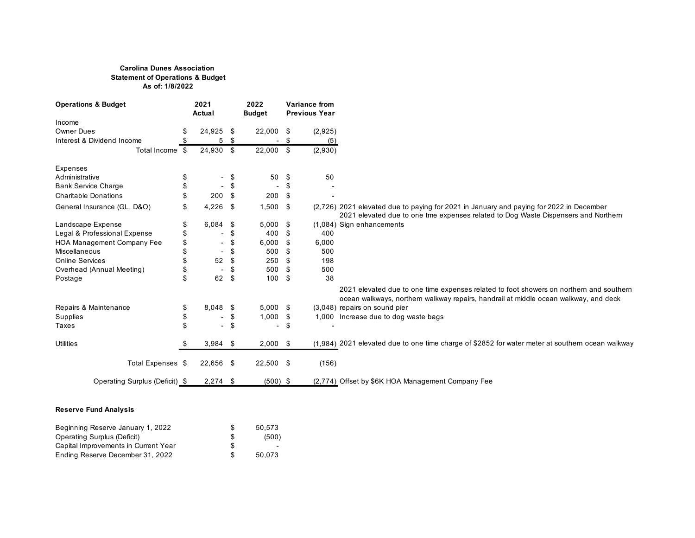#### **Carolina Dunes Association Statement of Operations & Budget As of: 1/8/2022**

| <b>Operations &amp; Budget</b>    |    | 2021<br>Actual           |     | 2022<br><b>Budget</b>    |     | <b>Variance from</b><br><b>Previous Year</b> |                                                                                                                                                                                 |
|-----------------------------------|----|--------------------------|-----|--------------------------|-----|----------------------------------------------|---------------------------------------------------------------------------------------------------------------------------------------------------------------------------------|
| Income                            |    |                          |     |                          |     |                                              |                                                                                                                                                                                 |
| <b>Owner Dues</b>                 |    | 24,925                   | -\$ | $22,000$ \$              |     | (2,925)                                      |                                                                                                                                                                                 |
| Interest & Dividend Income        |    | 5                        | \$  |                          | \$  | (5)                                          |                                                                                                                                                                                 |
| Total Income \$                   |    | 24,930                   | \$  | 22,000 \$                |     | (2,930)                                      |                                                                                                                                                                                 |
| Expenses                          |    |                          |     |                          |     |                                              |                                                                                                                                                                                 |
| Administrative                    | \$ | $\overline{\phantom{a}}$ | \$  | 50                       | \$  | 50                                           |                                                                                                                                                                                 |
| <b>Bank Service Charge</b>        | \$ | $\overline{\phantom{a}}$ | \$  |                          | \$  |                                              |                                                                                                                                                                                 |
| <b>Charitable Donations</b>       |    | 200                      | \$  | 200                      | -\$ |                                              |                                                                                                                                                                                 |
| General Insurance (GL, D&O)       | \$ | 4,226                    | \$  | $1,500$ \$               |     |                                              | (2,726) 2021 elevated due to paying for 2021 in January and paying for 2022 in December<br>2021 elevated due to one tme expenses related to Dog Waste Dispensers and Northern   |
| Landscape Expense                 | \$ | 6,084                    | \$  | $5,000$ \$               |     |                                              | (1,084) Sign enhancements                                                                                                                                                       |
| Legal & Professional Expense      | \$ | $\overline{\phantom{a}}$ | \$  | 400                      | \$  | 400                                          |                                                                                                                                                                                 |
| <b>HOA Management Company Fee</b> |    |                          | \$  | 6,000                    | \$  | 6,000                                        |                                                                                                                                                                                 |
| <b>Miscellaneous</b>              |    | $\blacksquare$           | \$  | 500                      | \$  | 500                                          |                                                                                                                                                                                 |
| <b>Online Services</b>            |    | 52                       | \$  | 250                      | \$  | 198                                          |                                                                                                                                                                                 |
| Overhead (Annual Meeting)         | \$ | $\overline{\phantom{a}}$ | \$  | 500                      | \$  | 500                                          |                                                                                                                                                                                 |
| Postage                           | \$ | 62                       | \$  | 100                      | \$  | 38                                           |                                                                                                                                                                                 |
|                                   |    |                          |     |                          |     |                                              | 2021 elevated due to one time expenses related to foot showers on northern and southern<br>ocean walkways, northern walkway repairs, handrail at middle ocean walkway, and deck |
| Repairs & Maintenance             | \$ | $8,048$ \$               |     | $5,000$ \$               |     |                                              | (3,048) repairs on sound pier                                                                                                                                                   |
| <b>Supplies</b>                   | \$ | $\overline{\phantom{a}}$ | \$  | 1,000                    | \$  |                                              | 1,000 Increase due to dog waste bags                                                                                                                                            |
| Taxes                             | \$ | $\overline{\phantom{a}}$ | \$  | $\overline{\phantom{a}}$ | \$  | $\blacksquare$                               |                                                                                                                                                                                 |
| <b>Utilities</b>                  |    | $3,984$ \$               |     | $2,000$ \$               |     |                                              | (1,984) 2021 elevated due to one time charge of \$2852 for water meter at southern ocean walkway                                                                                |
| Total Expenses \$                 |    | 22,656 \$                |     | $22,500$ \$              |     | (156)                                        |                                                                                                                                                                                 |
| Operating Surplus (Deficit) \$    |    | $2,274$ \$               |     | $(500)$ \$               |     |                                              | (2,774) Offset by \$6K HOA Management Company Fee                                                                                                                               |

#### **Reserve Fund Analysis**

| Beginning Reserve January 1, 2022    | SS. | 50.573                   |
|--------------------------------------|-----|--------------------------|
| <b>Operating Surplus (Deficit)</b>   | -S  | (500)                    |
| Capital Improvements in Current Year | S.  | $\overline{\phantom{0}}$ |
| Ending Reserve December 31, 2022     |     | 50.073                   |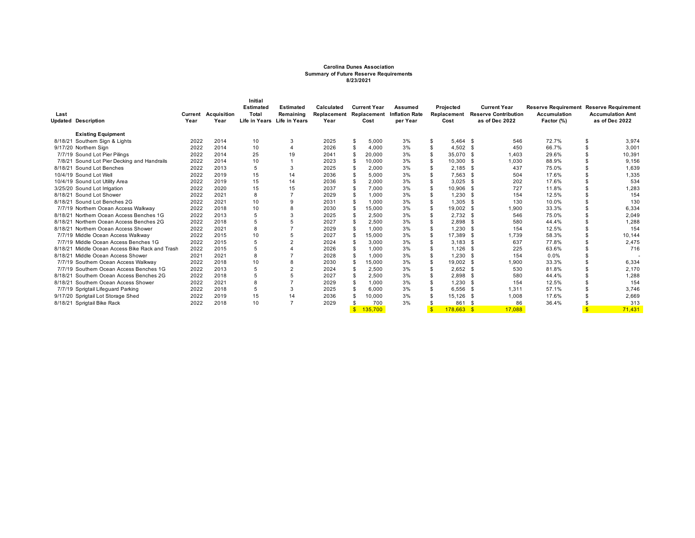#### **Carolina Dunes Association Summary of Future Reserve Requirements 8/23/2021**

| Last    | <b>Updated Description</b>                  | Year | <b>Current Acquisition</b><br>Year | Initial<br><b>Estimated</b><br>Total<br><b>Life in Years</b> | <b>Estimated</b><br>Remaining<br><b>Life in Years</b> | Calculated<br>Replacement<br>Year |                    | <b>Current Year</b><br>Cost | Assumed<br><b>Replacement Inflation Rate</b><br>per Year |                | Projected<br>Replacement<br>Cost |      | <b>Current Year</b><br><b>Reserve Contribution</b><br>as of Dec 2022 | <b>Reserve Requirement Reserve Requirement</b><br><b>Accumulation</b><br>Factor (%) | <b>Accumulation Amt</b><br>as of Dec 2022 |
|---------|---------------------------------------------|------|------------------------------------|--------------------------------------------------------------|-------------------------------------------------------|-----------------------------------|--------------------|-----------------------------|----------------------------------------------------------|----------------|----------------------------------|------|----------------------------------------------------------------------|-------------------------------------------------------------------------------------|-------------------------------------------|
|         | <b>Existing Equipment</b>                   |      |                                    |                                                              |                                                       |                                   |                    |                             |                                                          |                |                                  |      |                                                                      |                                                                                     |                                           |
|         | 8/18/21 Southern Sign & Lights              | 2022 | 2014                               | 10                                                           | 3                                                     | 2025                              | \$                 | 5,000                       | 3%                                                       | \$             | $5.464$ \$                       |      | 546                                                                  | 72.7%                                                                               | \$<br>3,974                               |
|         | 9/17/20 Northern Sign                       | 2022 | 2014                               | 10                                                           | 4                                                     | 2026                              | \$                 | 4.000                       | 3%                                                       | \$             | $4,502$ \$                       |      | 450                                                                  | 66.7%                                                                               | 3,001                                     |
|         | 7/7/19 Sound Lot Pier Pilings               | 2022 | 2014                               | 25                                                           | 19                                                    | 2041                              |                    | 20,000                      | 3%                                                       | \$             | 35.070                           | - \$ | 1.403                                                                | 29.6%                                                                               | 10.391                                    |
|         | 7/8/21 Sound Lot Pier Decking and Handrails | 2022 | 2014                               | 10                                                           |                                                       | 2023                              | \$                 | 10,000                      | 3%                                                       | \$             | 10,300                           |      | 1,030                                                                | 88.9%                                                                               | 9,156                                     |
|         | 8/18/21 Sound Lot Benches                   | 2022 | 2013                               |                                                              | 3                                                     | 2025                              | \$                 | 2,000                       | 3%                                                       | \$             | 2,185                            | - \$ | 437                                                                  | 75.0%                                                                               | 1,639                                     |
|         | 10/4/19 Sound Lot Well                      | 2022 | 2019                               | 15                                                           | 14                                                    | 2036                              |                    | 5.000                       | 3%                                                       | \$             | 7,563                            | - \$ | 504                                                                  | 17.6%                                                                               | 1,335                                     |
|         | 10/4/19 Sound Lot Utility Area              | 2022 | 2019                               | 15                                                           | 14                                                    | 2036                              | \$                 | 2.000                       | 3%                                                       | \$             | 3,025                            | -S   | 202                                                                  | 17.6%                                                                               | 534                                       |
|         | 3/25/20 Sound Lot Irrigation                | 2022 | 2020                               | 15                                                           | 15                                                    | 2037                              | \$                 | 7.000                       | 3%                                                       | \$             | 10,906                           | - \$ | 727                                                                  | 11.8%                                                                               | 1.283                                     |
|         | 8/18/21 Sound Lot Shower                    | 2022 | 2021                               |                                                              |                                                       | 2029                              |                    | 1,000                       | 3%                                                       | $\mathcal{F}$  | 1,230                            | - 95 | 154                                                                  | 12.5%                                                                               | 154                                       |
|         | 8/18/21 Sound Lot Benches 2G                | 2022 | 2021                               | 10                                                           | 9                                                     | 2031                              | \$                 | 1.000                       | 3%                                                       | $\mathfrak{s}$ | 1,305                            | -S   | 130                                                                  | 10.0%                                                                               | 130                                       |
|         | 7/7/19 Northern Ocean Access Walkway        | 2022 | 2018                               | 10                                                           |                                                       | 2030                              |                    | 15,000                      | 3%                                                       | \$             | 19,002                           | -S   | 1.900                                                                | 33.3%                                                                               | 6,334                                     |
|         | 8/18/21 Northern Ocean Access Benches 1G    | 2022 | 2013                               |                                                              |                                                       | 2025                              |                    | 2,500                       | 3%                                                       | \$             | 2,732                            | -S   | 546                                                                  | 75.0%                                                                               | 2.049                                     |
|         | 8/18/21 Northern Ocean Access Benches 2G    | 2022 | 2018                               |                                                              |                                                       | 2027                              |                    | 2.500                       | 3%                                                       | \$             | 2.898                            | - S  | 580                                                                  | 44.4%                                                                               | 1,288                                     |
|         | 8/18/21 Northern Ocean Access Shower        | 2022 | 2021                               |                                                              |                                                       | 2029                              |                    | 1.000                       | 3%                                                       |                | 1.230                            | -S   | 154                                                                  | 12.5%                                                                               | 154                                       |
|         | 7/7/19 Middle Ocean Access Walkway          | 2022 | 2015                               | 10                                                           |                                                       | 2027                              |                    | 15.000                      | 3%                                                       | \$             | 17,389                           | - 96 | 1.739                                                                | 58.3%                                                                               | 10.144                                    |
|         | 7/7/19 Middle Ocean Access Benches 1G       | 2022 | 2015                               |                                                              |                                                       | 2024                              |                    | 3.000                       | 3%                                                       | \$             | 3,183                            | -S   | 637                                                                  | 77.8%                                                                               | 2,475                                     |
| 8/18/21 | Middle Ocean Access Bike Rack and Trash     | 2022 | 2015                               |                                                              |                                                       | 2026                              |                    | 1.000                       | 3%                                                       |                | 1.126                            | -S   | 225                                                                  | 63.6%                                                                               | 716                                       |
|         | 8/18/21 Middle Ocean Access Shower          | 2021 | 2021                               |                                                              |                                                       | 2028                              | \$                 | 1.000                       | 3%                                                       |                | 1.230                            | £.   | 154                                                                  | 0.0%                                                                                |                                           |
|         | 7/7/19 Southern Ocean Access Walkway        | 2022 | 2018                               | 10                                                           |                                                       | 2030                              | $\mathfrak{L}$     | 15.000                      | 3%                                                       | \$             | 19.002 \$                        |      | 1.900                                                                | 33.3%                                                                               | 6.334                                     |
|         | 7/7/19 Southern Ocean Access Benches 1G     | 2022 | 2013                               |                                                              |                                                       | 2024                              |                    | 2,500                       | 3%                                                       | \$             | 2,652                            | -S   | 530                                                                  | 81.8%                                                                               | 2.170                                     |
| 8/18/21 | Southern Ocean Access Benches 2G            | 2022 | 2018                               |                                                              |                                                       | 2027                              | \$                 | 2,500                       | 3%                                                       | \$             | 2,898                            |      | 580                                                                  | 44.4%                                                                               | 1,288                                     |
| 8/18/21 | Southern Ocean Access Shower                | 2022 | 2021                               |                                                              |                                                       | 2029                              | \$                 | 1.000                       | 3%                                                       | \$             | 1,230                            | £.   | 154                                                                  | 12.5%                                                                               | 154                                       |
|         | 7/7/19 Sprigtail Lifeguard Parking          | 2022 | 2018                               |                                                              | 3                                                     | 2025                              |                    | 6.000                       | 3%                                                       |                | 6.556                            | - S  | 1.311                                                                | 57.1%                                                                               | 3.746                                     |
|         | 9/17/20 Sprigtail Lot Storage Shed          | 2022 | 2019                               | 15                                                           | 14                                                    | 2036                              |                    | 10,000                      | 3%                                                       |                | 15,126                           | -S   | 1.008                                                                | 17.6%                                                                               | 2,669                                     |
|         | 8/18/21 Sprigtail Bike Rack                 | 2022 | 2018                               | 10                                                           | $\overline{ }$                                        | 2029                              |                    | 700                         | 3%                                                       |                | 861                              |      | 86                                                                   | 36.4%                                                                               | 313                                       |
|         |                                             |      |                                    |                                                              |                                                       |                                   | $\mathbf{\hat{F}}$ | 135,700                     |                                                          | $\mathbf{s}$   | $178.663$ \$                     |      | 17.088                                                               |                                                                                     | 71.431                                    |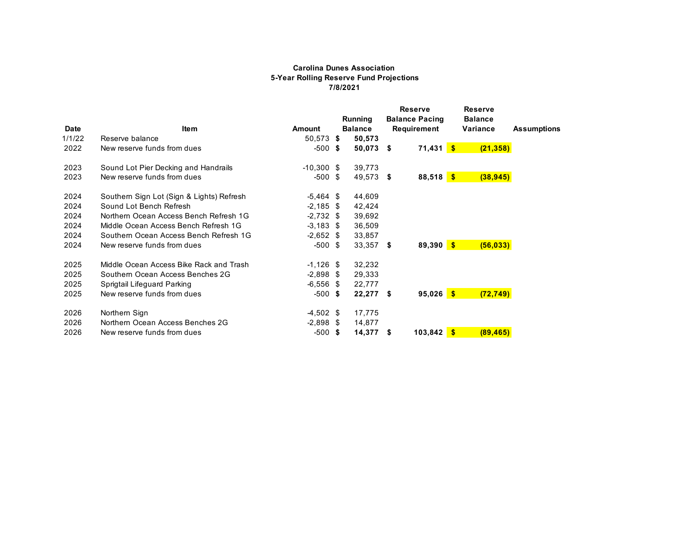#### **Carolina Dunes Association 5-Year Rolling Reserve Fund Projections 7/8/2021**

|        |                                           |               |      | Running        |      | <b>Reserve</b><br><b>Balance Pacing</b> | <b>Reserve</b><br><b>Balance</b> |                    |
|--------|-------------------------------------------|---------------|------|----------------|------|-----------------------------------------|----------------------------------|--------------------|
| Date   | <b>Item</b>                               | <b>Amount</b> |      | <b>Balance</b> |      | Requirement                             | Variance                         | <b>Assumptions</b> |
| 1/1/22 | Reserve balance                           | 50,573 \$     |      | 50,573         |      |                                         |                                  |                    |
| 2022   | New reserve funds from dues               | $-500$ \$     |      | $50,073$ \$    |      | $71,431$ \$                             | (21, 358)                        |                    |
| 2023   | Sound Lot Pier Decking and Handrails      | $-10,300$ \$  |      | 39,773         |      |                                         |                                  |                    |
| 2023   | New reserve funds from dues               | -500          | - \$ | 49,573 \$      |      | $88,518$ \$                             | (38, 945)                        |                    |
| 2024   | Southern Sign Lot (Sign & Lights) Refresh | $-5,464$ \$   |      | 44,609         |      |                                         |                                  |                    |
| 2024   | Sound Lot Bench Refresh                   | $-2,185$ \$   |      | 42,424         |      |                                         |                                  |                    |
| 2024   | Northern Ocean Access Bench Refresh 1G    | $-2,732$ \$   |      | 39,692         |      |                                         |                                  |                    |
| 2024   | Middle Ocean Access Bench Refresh 1G      | $-3,183$ \$   |      | 36,509         |      |                                         |                                  |                    |
| 2024   | Southern Ocean Access Bench Refresh 1G    | $-2,652$ \$   |      | 33,857         |      |                                         |                                  |                    |
| 2024   | New reserve funds from dues               | $-500$ \$     |      | 33,357         | - \$ | $89,390$ \$                             | (56, 033)                        |                    |
| 2025   | Middle Ocean Access Bike Rack and Trash   | $-1,126$ \$   |      | 32,232         |      |                                         |                                  |                    |
| 2025   | Southern Ocean Access Benches 2G          | $-2,898$ \$   |      | 29,333         |      |                                         |                                  |                    |
| 2025   | Sprigtail Lifeguard Parking               | $-6,556$ \$   |      | 22,777         |      |                                         |                                  |                    |
| 2025   | New reserve funds from dues               | -500          | - \$ | $22,277$ \$    |      | $95,026$ \$                             | (72, 749)                        |                    |
| 2026   | Northern Sign                             | $-4,502$ \$   |      | 17,775         |      |                                         |                                  |                    |
| 2026   | Northern Ocean Access Benches 2G          | $-2,898$ \$   |      | 14,877         |      |                                         |                                  |                    |
| 2026   | New reserve funds from dues               | $-500$ \$     |      | 14,377         | S    | $103,842$ \$                            | (89, 465)                        |                    |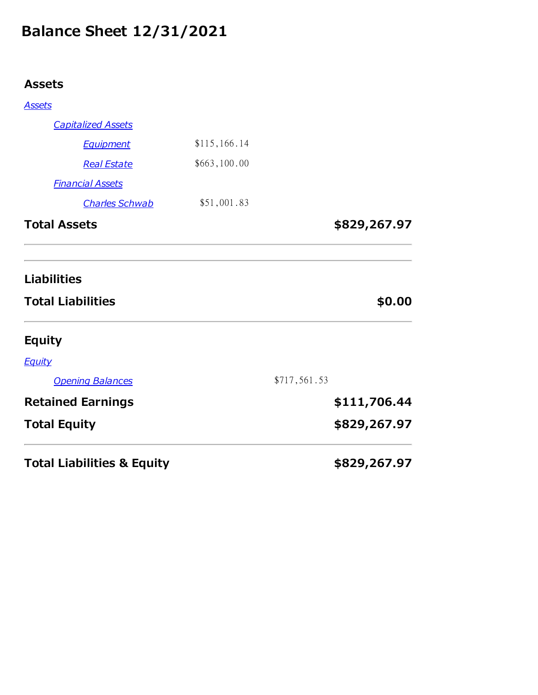# Balance Sheet 12/31/2021

# Assets

| <b>Total Liabilities &amp; Equity</b>          |              |              | \$829,267.97 |
|------------------------------------------------|--------------|--------------|--------------|
| <b>Total Equity</b>                            |              |              | \$829,267.97 |
| <b>Retained Earnings</b>                       |              |              | \$111,706.44 |
| <b>Opening Balances</b>                        |              | \$717,561.53 |              |
| <b>Equity</b>                                  |              |              |              |
| <b>Equity</b>                                  |              |              |              |
| <b>Liabilities</b><br><b>Total Liabilities</b> |              |              | \$0.00       |
| <b>Total Assets</b>                            |              |              | \$829,267.97 |
| <b>Charles Schwab</b>                          | \$51,001.83  |              |              |
| <b>Financial Assets</b>                        |              |              |              |
| <b>Real Estate</b>                             | \$663,100.00 |              |              |
| <b>Equipment</b>                               | \$115,166.14 |              |              |
| <b>Capitalized Assets</b>                      |              |              |              |
| <b>Assets</b>                                  |              |              |              |